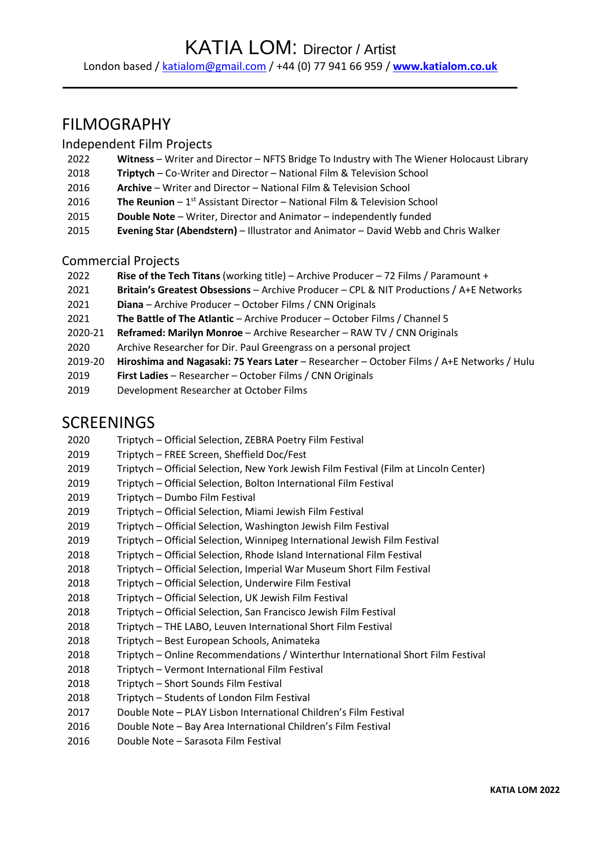# KATIA LOM: Director / Artist

London based / [katialom@gmail.com](mailto:katialom@gmail.com) / +44 (0) 77 941 66 959 / **[www.katialom.co.uk](http://www.katialom.co.uk/)**

# FILMOGRAPHY

### Independent Film Projects

- **Witness** Writer and Director NFTS Bridge To Industry with The Wiener Holocaust Library
- **Triptych** Co-Writer and Director National Film & Television School
- **Archive** Writer and Director National Film & Television School
- 2016 **The Reunion** 1<sup>st</sup> Assistant Director National Film & Television School
- **Double Note** Writer, Director and Animator independently funded
- **Evening Star (Abendstern)** Illustrator and Animator David Webb and Chris Walker

### Commercial Projects

- **Rise of the Tech Titans** (working title) Archive Producer 72 Films / Paramount +
- **Britain's Greatest Obsessions** Archive Producer CPL & NIT Productions / A+E Networks
- **Diana** Archive Producer October Films / CNN Originals
- **The Battle of The Atlantic** Archive Producer October Films / Channel 5
- 2020-21 **Reframed: Marilyn Monroe** Archive Researcher RAW TV / CNN Originals
- Archive Researcher for Dir. Paul Greengrass on a personal project
- 2019-20 **Hiroshima and Nagasaki: 75 Years Later** Researcher October Films / A+E Networks / Hulu
- **First Ladies** Researcher October Films / CNN Originals
- Development Researcher at October Films

### SCREENINGS

- Triptych Official Selection, ZEBRA Poetry Film Festival
- Triptych FREE Screen, Sheffield Doc/Fest
- Triptych Official Selection, New York Jewish Film Festival (Film at Lincoln Center)
- Triptych Official Selection, Bolton International Film Festival
- Triptych Dumbo Film Festival
- Triptych Official Selection, Miami Jewish Film Festival
- Triptych Official Selection, Washington Jewish Film Festival
- Triptych Official Selection, Winnipeg International Jewish Film Festival
- 2018 Triptych Official Selection, Rhode Island International Film Festival
- Triptych Official Selection, Imperial War Museum Short Film Festival
- Triptych Official Selection, Underwire Film Festival
- Triptych Official Selection, UK Jewish Film Festival
- Triptych Official Selection, San Francisco Jewish Film Festival
- Triptych THE LABO, Leuven International Short Film Festival
- Triptych Best European Schools, Animateka
- Triptych Online Recommendations / Winterthur International Short Film Festival
- Triptych Vermont International Film Festival
- Triptych Short Sounds Film Festival
- 2018 Triptych Students of London Film Festival
- Double Note PLAY Lisbon International Children's Film Festival
- Double Note Bay Area International Children's Film Festival
- Double Note Sarasota Film Festival